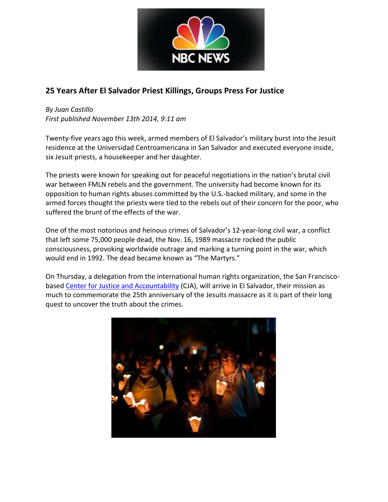

## **25 Years After El Salvador Priest Killings, Groups Press For Justice**

*By Juan Castillo First published November 13th 2014, 9:11 am*

Twenty-five years ago this week, armed members of El Salvador's military burst into the Jesuit residence at the Universidad Centroamericana in San Salvador and executed everyone inside, six Jesuit priests, a housekeeper and her daughter.

The priests were known for speaking out for peaceful negotiations in the nation's brutal civil war between FMLN rebels and the government. The university had become known for its opposition to human rights abuses committed by the U.S.-backed military, and some in the armed forces thought the priests were tied to the rebels out of their concern for the poor, who suffered the brunt of the effects of the war.

One of the most notorious and heinous crimes of Salvador's 12-year-long civil war, a conflict that left some 75,000 people dead, the Nov. 16, 1989 massacre rocked the public consciousness, provoking worldwide outrage and marking a turning point in the war, which would end in 1992. The dead became known as "The Martyrs."

On Thursday, a delegation from the international human rights organization, the San Franciscobase[d Center for Justice and Accountability](http://www.cja.org/) (CJA), will arrive in El Salvador, their mission as much to commemorate the 25th anniversary of the Jesuits massacre as it is part of their long quest to uncover the truth about the crimes.

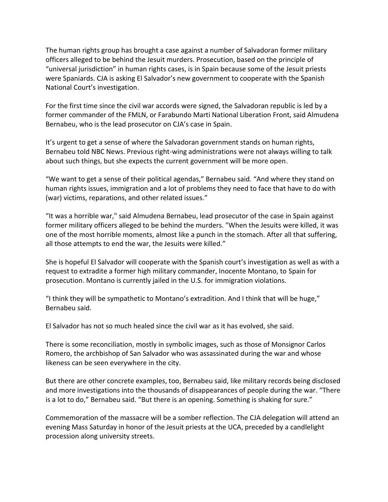The human rights group has brought a case against a number of Salvadoran former military officers alleged to be behind the Jesuit murders. Prosecution, based on the principle of "universal jurisdiction" in human rights cases, is in Spain because some of the Jesuit priests were Spaniards. CJA is asking El Salvador's new government to cooperate with the Spanish National Court's investigation.

For the first time since the civil war accords were signed, the Salvadoran republic is led by a former commander of the FMLN, or Farabundo Marti National Liberation Front, said Almudena Bernabeu, who is the lead prosecutor on CJA's case in Spain.

It's urgent to get a sense of where the Salvadoran government stands on human rights, Bernabeu told NBC News. Previous right-wing administrations were not always willing to talk about such things, but she expects the current government will be more open.

"We want to get a sense of their political agendas," Bernabeu said. "And where they stand on human rights issues, immigration and a lot of problems they need to face that have to do with (war) victims, reparations, and other related issues."

"It was a horrible war," said Almudena Bernabeu, lead prosecutor of the case in Spain against former military officers alleged to be behind the murders. "When the Jesuits were killed, it was one of the most horrible moments, almost like a punch in the stomach. After all that suffering, all those attempts to end the war, the Jesuits were killed."

She is hopeful El Salvador will cooperate with the Spanish court's investigation as well as with a request to extradite a former high military commander, Inocente Montano, to Spain for prosecution. Montano is currently jailed in the U.S. for immigration violations.

"I think they will be sympathetic to Montano's extradition. And I think that will be huge," Bernabeu said.

El Salvador has not so much healed since the civil war as it has evolved, she said.

There is some reconciliation, mostly in symbolic images, such as those of Monsignor Carlos Romero, the archbishop of San Salvador who was assassinated during the war and whose likeness can be seen everywhere in the city.

But there are other concrete examples, too, Bernabeu said, like military records being disclosed and more investigations into the thousands of disappearances of people during the war. "There is a lot to do," Bernabeu said. "But there is an opening. Something is shaking for sure."

Commemoration of the massacre will be a somber reflection. The CJA delegation will attend an evening Mass Saturday in honor of the Jesuit priests at the UCA, preceded by a candlelight procession along university streets.